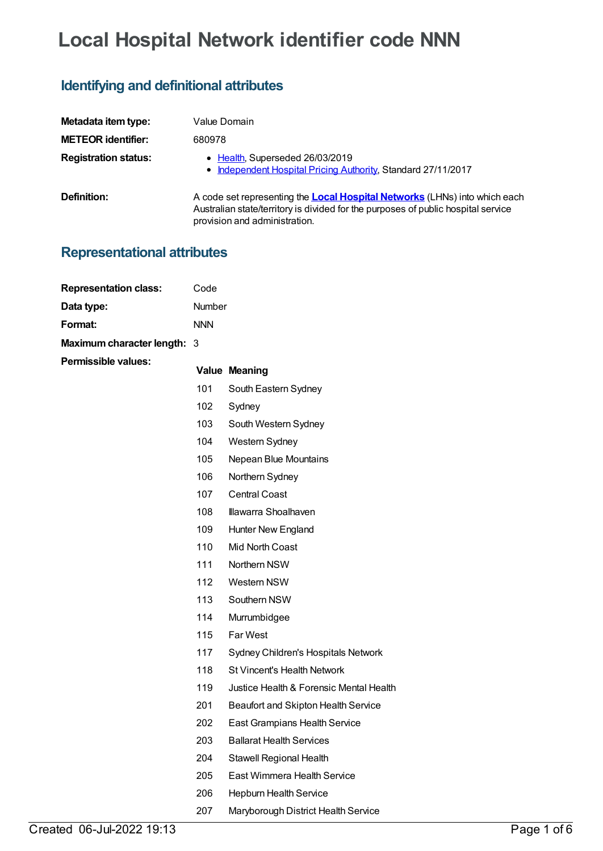# **Local Hospital Network identifier code NNN**

## **Identifying and definitional attributes**

| Metadata item type:         | Value Domain                                                                                                                                                                                            |
|-----------------------------|---------------------------------------------------------------------------------------------------------------------------------------------------------------------------------------------------------|
| <b>METEOR identifier:</b>   | 680978                                                                                                                                                                                                  |
| <b>Registration status:</b> | • Health, Superseded 26/03/2019<br>• Independent Hospital Pricing Authority, Standard 27/11/2017                                                                                                        |
| Definition:                 | A code set representing the <b>Local Hospital Networks</b> (LHNs) into which each<br>Australian state/territory is divided for the purposes of public hospital service<br>provision and administration. |

### **Representational attributes**

| <b>Representation class:</b> | Code       |                                         |
|------------------------------|------------|-----------------------------------------|
| Data type:                   | Number     |                                         |
| Format:                      | <b>NNN</b> |                                         |
| Maximum character length: 3  |            |                                         |
| <b>Permissible values:</b>   |            | <b>Value Meaning</b>                    |
|                              | 101        | South Eastern Sydney                    |
|                              | 102        | Sydney                                  |
|                              | 103        | South Western Sydney                    |
|                              | 104        | Western Sydney                          |
|                              | 105        | Nepean Blue Mountains                   |
|                              | 106        | Northern Sydney                         |
|                              | 107        | <b>Central Coast</b>                    |
|                              | 108        | Illawarra Shoalhaven                    |
|                              | 109        | Hunter New England                      |
|                              | 110        | Mid North Coast                         |
|                              | 111        | Northern NSW                            |
|                              | 112        | Western NSW                             |
|                              | 113        | Southern NSW                            |
|                              | 114        | Murrumbidgee                            |
|                              | 115        | Far West                                |
|                              | 117        | Sydney Children's Hospitals Network     |
|                              | 118        | <b>St Vincent's Health Network</b>      |
|                              | 119        | Justice Health & Forensic Mental Health |
|                              | 201        | Beaufort and Skipton Health Service     |
|                              | 202        | East Grampians Health Service           |
|                              | 203        | <b>Ballarat Health Services</b>         |
|                              | 204        | Stawell Regional Health                 |
|                              | 205        | East Wimmera Health Service             |
|                              | 206        | Hepburn Health Service                  |
|                              | 207        | Maryborough District Health Service     |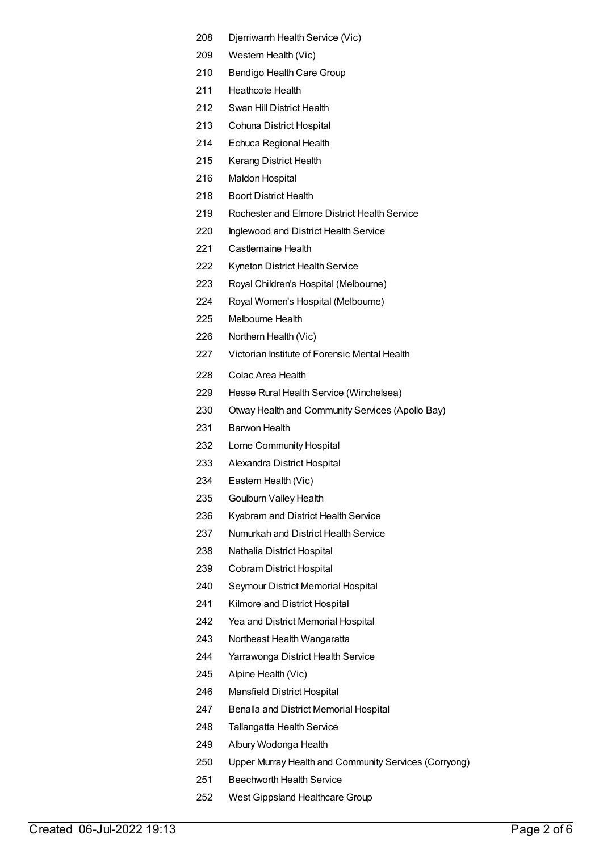- Djerriwarrh Health Service (Vic)
- Western Health (Vic)
- Bendigo Health Care Group
- Heathcote Health
- Swan Hill District Health
- Cohuna District Hospital
- Echuca Regional Health
- Kerang District Health
- Maldon Hospital
- Boort District Health
- Rochester and Elmore District Health Service
- Inglewood and District Health Service
- Castlemaine Health
- Kyneton District Health Service
- Royal Children's Hospital (Melbourne)
- Royal Women's Hospital (Melbourne)
- Melbourne Health
- Northern Health (Vic)
- Victorian Institute of Forensic Mental Health
- Colac Area Health
- Hesse Rural Health Service (Winchelsea)
- Otway Health and Community Services (Apollo Bay)
- Barwon Health
- Lorne Community Hospital
- Alexandra District Hospital
- Eastern Health (Vic)
- Goulburn Valley Health
- Kyabram and District Health Service
- Numurkah and District Health Service
- Nathalia District Hospital
- Cobram District Hospital
- Seymour District Memorial Hospital
- Kilmore and District Hospital
- Yea and District Memorial Hospital
- Northeast Health Wangaratta
- Yarrawonga District Health Service
- Alpine Health (Vic)
- Mansfield District Hospital
- Benalla and District Memorial Hospital
- Tallangatta Health Service
- Albury Wodonga Health
- Upper Murray Health and Community Services (Corryong)
- Beechworth Health Service
- West Gippsland Healthcare Group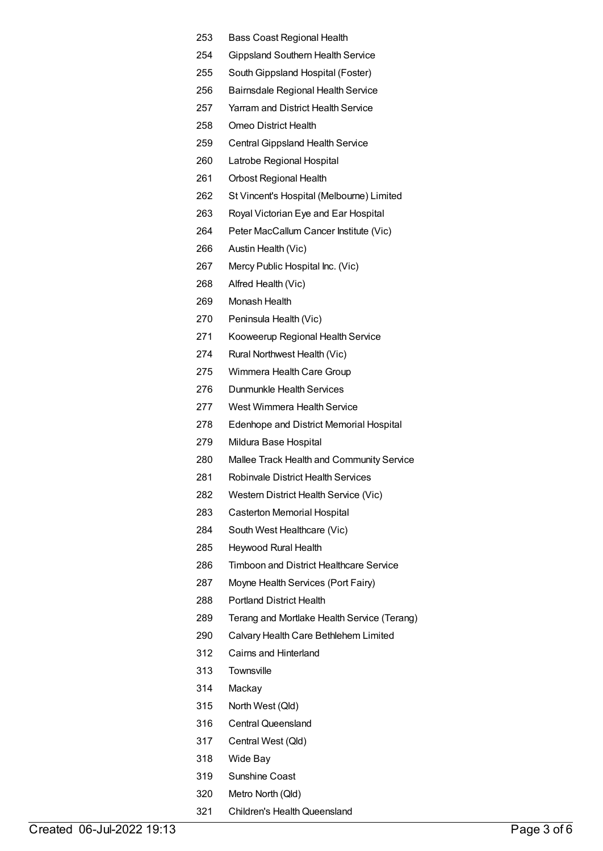- Bass Coast Regional Health
- Gippsland Southern Health Service
- SouthGippsland Hospital (Foster)
- Bairnsdale Regional Health Service
- Yarram and District Health Service
- Omeo District Health
- Central Gippsland Health Service
- Latrobe Regional Hospital
- Orbost Regional Health
- St Vincent's Hospital (Melbourne) Limited
- Royal Victorian Eye and Ear Hospital
- Peter MacCallum Cancer Institute (Vic)
- Austin Health (Vic)
- Mercy Public Hospital Inc. (Vic)
- Alfred Health (Vic)
- Monash Health
- Peninsula Health (Vic)
- Kooweerup Regional Health Service
- Rural Northwest Health (Vic)
- Wimmera Health Care Group
- Dunmunkle Health Services
- West Wimmera Health Service
- Edenhope and District Memorial Hospital
- Mildura Base Hospital
- Mallee Track Health and Community Service
- Robinvale District Health Services
- Western District Health Service (Vic)
- Casterton Memorial Hospital
- South West Healthcare (Vic)
- Heywood Rural Health
- Timboon and District Healthcare Service
- Moyne Health Services (Port Fairy)
- Portland District Health
- Terang and Mortlake Health Service (Terang)
- Calvary Health Care Bethlehem Limited
- Cairns and Hinterland
- Townsville
- Mackay
- North West (Qld)
- Central Queensland
- Central West (Qld)
- Wide Bay
- Sunshine Coast
- Metro North (Qld)
- 321 Children's Health Queensland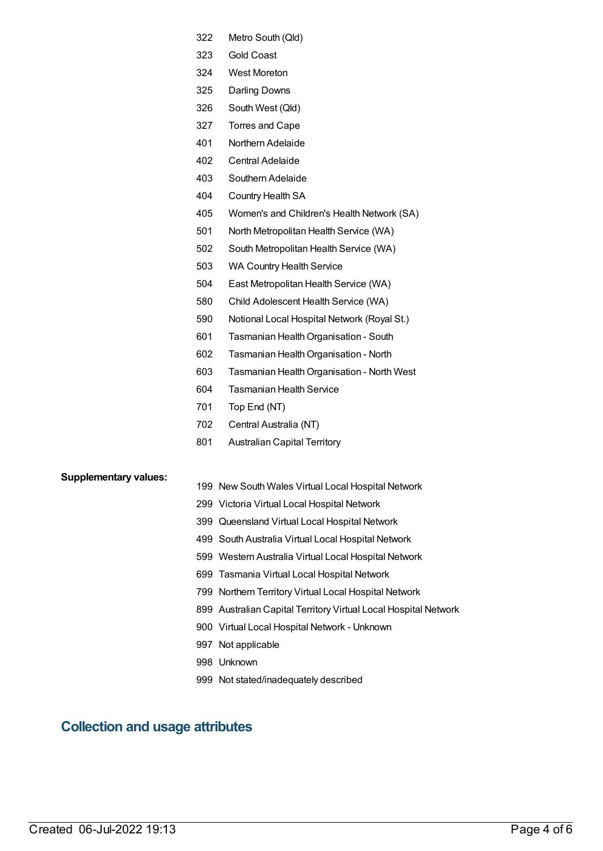- Metro South (Qld)
- Gold Coast
- West Moreton
- Darling Downs
- South West (Qld)
- Torres and Cape
- Northern Adelaide
- Central Adelaide
- Southern Adelaide
- Country Health SA
- Women's and Children's Health Network (SA)
- North Metropolitan Health Service (WA)
- South Metropolitan Health Service (WA)
- WA Country Health Service
- East Metropolitan Health Service (WA)
- Child Adolescent Health Service (WA)
- Notional Local Hospital Network (Royal St.)
- 601 Tasmanian Health Organisation South
- Tasmanian HealthOrganisation North
- 603 Tasmanian Health Organisation North West
- Tasmanian Health Service
- Top End (NT)
- Central Australia (NT)
- Australian Capital Territory

#### **Supplementary values:**

- New South Wales Virtual Local Hospital Network
- Victoria Virtual Local Hospital Network
- Queensland Virtual Local Hospital Network
- South Australia Virtual Local Hospital Network
- Western Australia Virtual Local Hospital Network
- Tasmania Virtual Local Hospital Network
- Northern Territory Virtual Local Hospital Network
- Australian Capital Territory Virtual Local Hospital Network
- Virtual Local Hospital Network Unknown
- Not applicable
- Unknown
- Not stated/inadequately described

### **Collection and usage attributes**